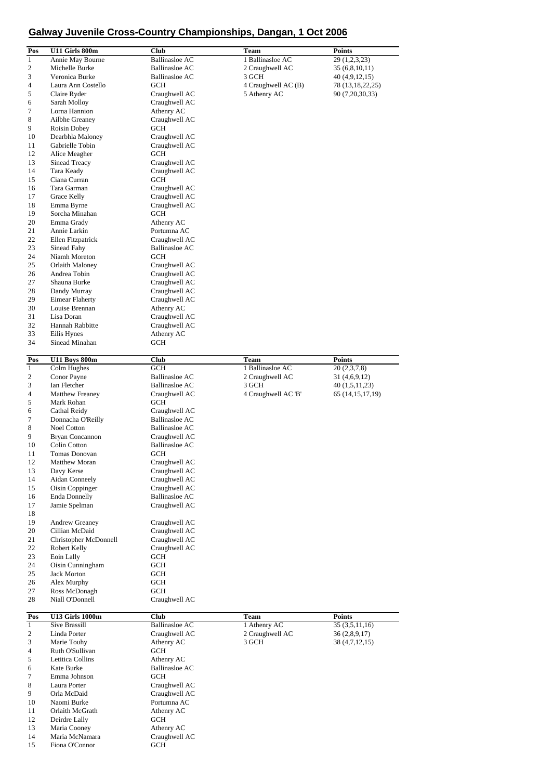## **Galway Juvenile Cross-Country Championships, Dangan, 1 Oct 2006**

| Pos          | U11 Girls 800m                   | Club                        | Team                | Points              |
|--------------|----------------------------------|-----------------------------|---------------------|---------------------|
| $\mathbf{1}$ | Annie May Bourne                 | <b>Ballinasloe AC</b>       | 1 Ballinasloe AC    | 29 (1,2,3,23)       |
| 2            | Michelle Burke                   | <b>Ballinasloe AC</b>       | 2 Craughwell AC     | 35 (6,8,10,11)      |
| 3            | Veronica Burke                   | <b>Ballinasloe AC</b>       | 3 GCH               | 40 (4,9,12,15)      |
| 4            | Laura Ann Costello               | <b>GCH</b>                  | 4 Craughwell AC (B) | 78 (13,18,22,25)    |
| 5            | Claire Ryder                     | Craughwell AC               | 5 Athenry AC        | 90 (7,20,30,33)     |
| 6            | Sarah Molloy                     | Craughwell AC               |                     |                     |
| 7            | Lorna Hannion                    | Athenry AC                  |                     |                     |
| 8            | Ailbhe Greaney                   |                             |                     |                     |
|              |                                  | Craughwell AC               |                     |                     |
| 9<br>10      | Roisin Dobey<br>Dearbhla Maloney | <b>GCH</b><br>Craughwell AC |                     |                     |
|              | Gabrielle Tobin                  |                             |                     |                     |
| 11<br>12     |                                  | Craughwell AC               |                     |                     |
|              | Alice Meagher                    | GCH                         |                     |                     |
| 13           | Sinead Treacy                    | Craughwell AC               |                     |                     |
| 14           | Tara Keady                       | Craughwell AC               |                     |                     |
| 15           | Ciana Curran                     | <b>GCH</b>                  |                     |                     |
| 16           | Tara Garman                      | Craughwell AC               |                     |                     |
| 17           | Grace Kelly                      | Craughwell AC               |                     |                     |
| 18           | Emma Byrne                       | Craughwell AC               |                     |                     |
| 19           | Sorcha Minahan                   | <b>GCH</b>                  |                     |                     |
| 20           | Emma Grady                       | Athenry AC                  |                     |                     |
| 21           | Annie Larkin                     | Portumna AC                 |                     |                     |
| 22           | Ellen Fitzpatrick                | Craughwell AC               |                     |                     |
| 23           | Sinead Fahy                      | <b>Ballinasloe AC</b>       |                     |                     |
| 24           | Niamh Moreton                    | <b>GCH</b>                  |                     |                     |
| 25           | Orlaith Maloney                  | Craughwell AC               |                     |                     |
| 26           | Andrea Tobin                     | Craughwell AC               |                     |                     |
| 27           | Shauna Burke                     | Craughwell AC               |                     |                     |
| 28           | Dandy Murray                     | Craughwell AC               |                     |                     |
| 29           | <b>Eimear Flaherty</b>           | Craughwell AC               |                     |                     |
| 30           | Louise Brennan                   | Athenry AC                  |                     |                     |
| 31           | Lisa Doran                       | Craughwell AC               |                     |                     |
| 32           | Hannah Rabbitte                  | Craughwell AC               |                     |                     |
| 33           | Eilis Hynes                      | Athenry AC                  |                     |                     |
| 34           | Sinead Minahan                   | <b>GCH</b>                  |                     |                     |
|              |                                  |                             |                     |                     |
| Pos          | <b>U11 Boys 800m</b>             | Club                        | <b>Team</b>         | <b>Points</b>       |
| $\mathbf{1}$ | Colm Hughes                      | <b>GCH</b>                  | 1 Ballinasloe AC    | 20 (2,3,7,8)        |
| 2            | Conor Payne                      | <b>Ballinasloe AC</b>       | 2 Craughwell AC     | 31 (4,6,9,12)       |
| 3            | Ian Fletcher                     | <b>Ballinasloe AC</b>       | 3 GCH               | 40 (1,5,11,23)      |
| 4            | <b>Matthew Freaney</b>           | Craughwell AC               | 4 Craughwell AC 'B' | 65 (14, 15, 17, 19) |
| 5            | Mark Rohan                       | <b>GCH</b>                  |                     |                     |
| 6            | Cathal Reidy                     | Craughwell AC               |                     |                     |
| 7            | Donnacha O'Reilly                | <b>Ballinasloe AC</b>       |                     |                     |
| 8            | Noel Cotton                      | <b>Ballinasloe AC</b>       |                     |                     |
| 9            | Bryan Concannon                  | Craughwell AC               |                     |                     |
| 10           | Colin Cotton                     | <b>Ballinasloe AC</b>       |                     |                     |
| 11           | Tomas Donovan                    | <b>GCH</b>                  |                     |                     |
| 12           | Matthew Moran                    | Craughwell AC               |                     |                     |
| 13           | Davy Kerse                       | Craughwell AC               |                     |                     |
| 14           | <b>Aidan Conneely</b>            | Craughwell AC               |                     |                     |
| 15           | Oisin Coppinger                  | Craughwell AC               |                     |                     |
| 16           | <b>Enda Donnelly</b>             | <b>Ballinasloe AC</b>       |                     |                     |
|              |                                  |                             |                     |                     |
| 17<br>18     | Jamie Spelman                    | Craughwell AC               |                     |                     |
|              |                                  |                             |                     |                     |
| 19           | Andrew Greaney                   | Craughwell AC               |                     |                     |
| 20           | Cillian McDaid                   | Craughwell AC               |                     |                     |
| 21           | Christopher McDonnell            | Craughwell AC               |                     |                     |
| 22           | Robert Kelly                     | Craughwell AC               |                     |                     |
| 23           | Eoin Lally                       | GCH                         |                     |                     |
| 24           | Oisin Cunningham                 | GCH                         |                     |                     |
| 25           | <b>Jack Morton</b>               | GCH                         |                     |                     |
| 26           | Alex Murphy                      | GCH                         |                     |                     |
| 27           | Ross McDonagh                    | <b>GCH</b>                  |                     |                     |
| 28           | Niall O'Donnell                  | Craughwell AC               |                     |                     |
| Pos          | <b>U13 Girls 1000m</b>           | <b>Club</b>                 | Team                | <b>Points</b>       |
| $\mathbf{1}$ | Sive Brassill                    | <b>Ballinasloe AC</b>       | 1 Athenry AC        | 35(3,5,11,16)       |
| 2            | Linda Porter                     | Craughwell AC               | 2 Craughwell AC     | 36 (2,8,9,17)       |
| 3            | Marie Touhy                      | Athenry AC                  | 3 GCH               | 38 (4,7,12,15)      |
| 4            | Ruth O'Sullivan                  | GCH                         |                     |                     |
| 5            | Letitica Collins                 | Athenry AC                  |                     |                     |
|              |                                  | <b>Ballinasloe AC</b>       |                     |                     |
| 6            | Kate Burke                       |                             |                     |                     |
| 7            | Emma Johnson                     | <b>GCH</b>                  |                     |                     |
| 8            | Laura Porter                     | Craughwell AC               |                     |                     |
| 9            | Orla McDaid                      | Craughwell AC               |                     |                     |
| 10           | Naomi Burke                      | Portumna AC                 |                     |                     |
| 11           | Orlaith McGrath                  | Athenry AC                  |                     |                     |
| 12           | Deirdre Lally                    | GCH                         |                     |                     |
| 13           | Maria Cooney                     | Athenry AC                  |                     |                     |
| 14           | Maria McNamara                   | Craughwell AC               |                     |                     |
| 15           | Fiona O'Connor                   | GCH                         |                     |                     |